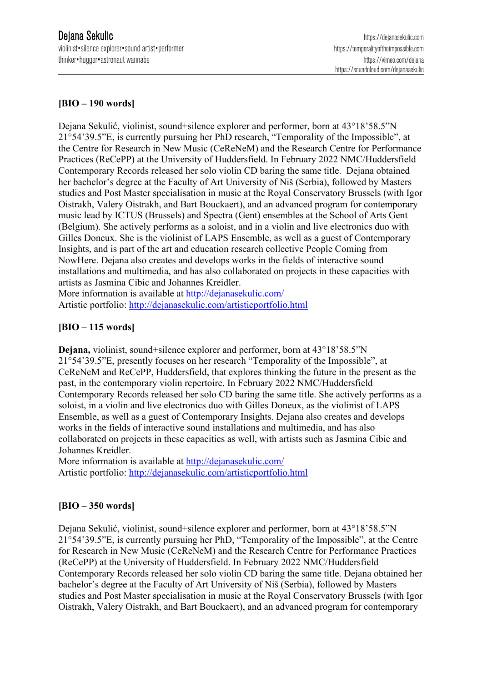## **[BIO – 190 words]**

Dejana Sekulić, violinist, sound+silence explorer and performer, born at 43°18'58.5"N 21°54'39.5"E, is currently pursuing her PhD research, "Temporality of the Impossible", at the Centre for Research in New Music (CeReNeM) and the Research Centre for Performance Practices (ReCePP) at the University of Huddersfield. In February 2022 NMC/Huddersfield Contemporary Records released her solo violin CD baring the same title. Dejana obtained her bachelor's degree at the Faculty of Art University of Niš (Serbia), followed by Masters studies and Post Master specialisation in music at the Royal Conservatory Brussels (with Igor Oistrakh, Valery Oistrakh, and Bart Bouckaert), and an advanced program for contemporary music lead by ICTUS (Brussels) and Spectra (Gent) ensembles at the School of Arts Gent (Belgium). She actively performs as a soloist, and in a violin and live electronics duo with Gilles Doneux. She is the violinist of LAPS Ensemble, as well as a guest of Contemporary Insights, and is part of the art and education research collective People Coming from NowHere. Dejana also creates and develops works in the fields of interactive sound installations and multimedia, and has also collaborated on projects in these capacities with artists as Jasmina Cibic and Johannes Kreidler.

More information is available at http://dejanasekulic.com/ Artistic portfolio: http://dejanasekulic.com/artisticportfolio.html

## **[BIO – 115 words]**

**Dejana,** violinist, sound+silence explorer and performer, born at 43°18'58.5"N 21°54'39.5"E, presently focuses on her research "Temporality of the Impossible", at CeReNeM and ReCePP, Huddersfield, that explores thinking the future in the present as the past, in the contemporary violin repertoire. In February 2022 NMC/Huddersfield Contemporary Records released her solo CD baring the same title. She actively performs as a soloist, in a violin and live electronics duo with Gilles Doneux, as the violinist of LAPS Ensemble, as well as a guest of Contemporary Insights. Dejana also creates and develops works in the fields of interactive sound installations and multimedia, and has also collaborated on projects in these capacities as well, with artists such as Jasmina Cibic and Johannes Kreidler.

More information is available at http://dejanasekulic.com/ Artistic portfolio: http://dejanasekulic.com/artisticportfolio.html

## **[BIO – 350 words]**

Dejana Sekulić, violinist, sound+silence explorer and performer, born at 43°18'58.5"N 21°54'39.5"E, is currently pursuing her PhD, "Temporality of the Impossible", at the Centre for Research in New Music (CeReNeM) and the Research Centre for Performance Practices (ReCePP) at the University of Huddersfield. In February 2022 NMC/Huddersfield Contemporary Records released her solo violin CD baring the same title. Dejana obtained her bachelor's degree at the Faculty of Art University of Niš (Serbia), followed by Masters studies and Post Master specialisation in music at the Royal Conservatory Brussels (with Igor Oistrakh, Valery Oistrakh, and Bart Bouckaert), and an advanced program for contemporary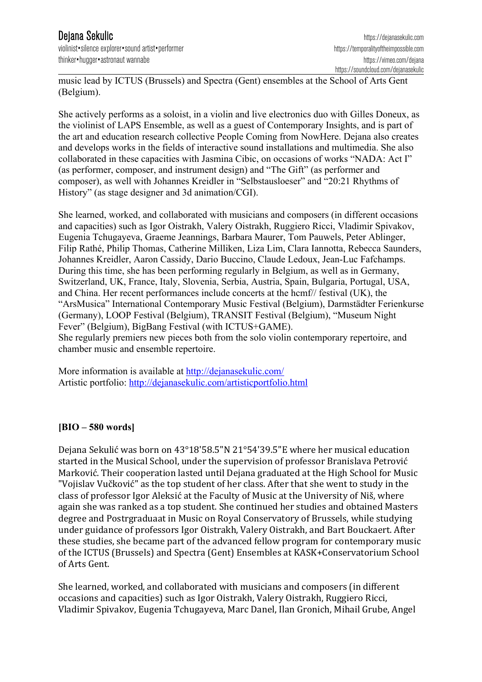violinist•silence explorer•sound artist•performer https://temporalityoftheimpossible.com thinker•hugger•astronaut wannabe https://vimeo.com/dejana

music lead by ICTUS (Brussels) and Spectra (Gent) ensembles at the School of Arts Gent (Belgium).

She actively performs as a soloist, in a violin and live electronics duo with Gilles Doneux, as the violinist of LAPS Ensemble, as well as a guest of Contemporary Insights, and is part of the art and education research collective People Coming from NowHere. Dejana also creates and develops works in the fields of interactive sound installations and multimedia. She also collaborated in these capacities with Jasmina Cibic, on occasions of works "NADA: Act I" (as performer, composer, and instrument design) and "The Gift" (as performer and composer), as well with Johannes Kreidler in "Selbstausloeser" and "20:21 Rhythms of History" (as stage designer and 3d animation/CGI).

She learned, worked, and collaborated with musicians and composers (in different occasions and capacities) such as Igor Oistrakh, Valery Oistrakh, Ruggiero Ricci, Vladimir Spivakov, Eugenia Tchugayeva, Graeme Jeannings, Barbara Maurer, Tom Pauwels, Peter Ablinger, Filip Rathé, Philip Thomas, Catherine Milliken, Liza Lim, Clara Iannotta, Rebecca Saunders, Johannes Kreidler, Aaron Cassidy, Dario Buccino, Claude Ledoux, Jean-Luc Fafchamps. During this time, she has been performing regularly in Belgium, as well as in Germany, Switzerland, UK, France, Italy, Slovenia, Serbia, Austria, Spain, Bulgaria, Portugal, USA, and China. Her recent performances include concerts at the hcmf// festival (UK), the "ArsMusica" International Contemporary Music Festival (Belgium), Darmstädter Ferienkurse (Germany), LOOP Festival (Belgium), TRANSIT Festival (Belgium), "Museum Night Fever" (Belgium), BigBang Festival (with ICTUS+GAME). She regularly premiers new pieces both from the solo violin contemporary repertoire, and chamber music and ensemble repertoire.

More information is available at http://dejanasekulic.com/ Artistic portfolio: http://dejanasekulic.com/artisticportfolio.html

## **[BIO – 580 words]**

Dejana Sekulić was born on 43°18'58.5"N 21°54'39.5"E where her musical education started in the Musical School, under the supervision of professor Branislava Petrović Marković. Their cooperation lasted until Dejana graduated at the High School for Music "Vojislav Vučković" as the top student of her class. After that she went to study in the class of professor Igor Aleksić at the Faculty of Music at the University of Niš, where again she was ranked as a top student. She continued her studies and obtained Masters degree and Postrgraduaat in Music on Royal Conservatory of Brussels, while studying under guidance of professors Igor Oistrakh, Valery Oistrakh, and Bart Bouckaert. After these studies, she became part of the advanced fellow program for contemporary music of the ICTUS (Brussels) and Spectra (Gent) Ensembles at KASK+Conservatorium School of Arts Gent.

She learned, worked, and collaborated with musicians and composers (in different occasions and capacities) such as Igor Oistrakh, Valery Oistrakh, Ruggiero Ricci, Vladimir Spivakov, Eugenia Tchugayeva, Marc Danel, Ilan Gronich, Mihail Grube, Angel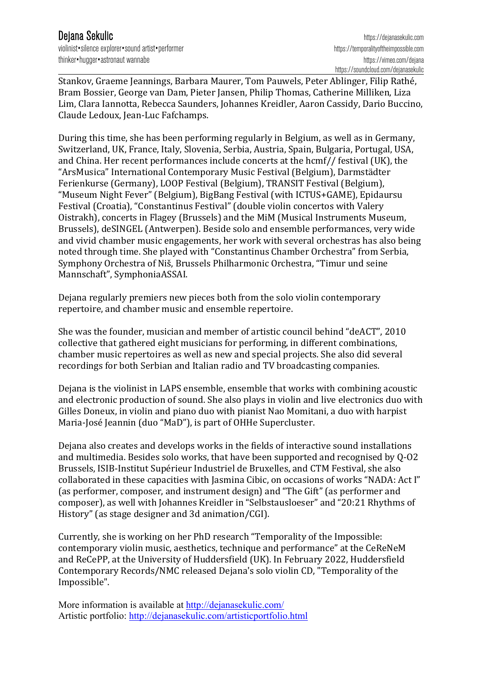violinist•silence explorer•sound artist•performer https://temporalityoftheimpossible.com thinker•hugger•astronaut wannabe https://vimeo.com/dejana

Stankov, Graeme Jeannings, Barbara Maurer, Tom Pauwels, Peter Ablinger, Filip Rathé, Bram Bossier, George van Dam, Pieter Jansen, Philip Thomas, Catherine Milliken, Liza Lim, Clara Iannotta, Rebecca Saunders, Johannes Kreidler, Aaron Cassidy, Dario Buccino, Claude Ledoux, Jean-Luc Fafchamps.

During this time, she has been performing regularly in Belgium, as well as in Germany, Switzerland, UK, France, Italy, Slovenia, Serbia, Austria, Spain, Bulgaria, Portugal, USA, and China. Her recent performances include concerts at the  $hcmf$  / festival (UK), the "ArsMusica" International Contemporary Music Festival (Belgium), Darmstädter Ferienkurse (Germany), LOOP Festival (Belgium), TRANSIT Festival (Belgium), "Museum Night Fever" (Belgium), BigBang Festival (with ICTUS+GAME), Epidaursu Festival (Croatia), "Constantinus Festival" (double violin concertos with Valery Oistrakh), concerts in Flagey (Brussels) and the MiM (Musical Instruments Museum, Brussels), deSINGEL (Antwerpen). Beside solo and ensemble performances, very wide and vivid chamber music engagements, her work with several orchestras has also being noted through time. She played with "Constantinus Chamber Orchestra" from Serbia, Symphony Orchestra of Niš, Brussels Philharmonic Orchestra, "Timur und seine Mannschaft", SymphoniaASSAI.

Dejana regularly premiers new pieces both from the solo violin contemporary repertoire, and chamber music and ensemble repertoire.

She was the founder, musician and member of artistic council behind "deACT", 2010 collective that gathered eight musicians for performing, in different combinations, chamber music repertoires as well as new and special projects. She also did several recordings for both Serbian and Italian radio and TV broadcasting companies.

Dejana is the violinist in LAPS ensemble, ensemble that works with combining acoustic and electronic production of sound. She also plays in violin and live electronics duo with Gilles Doneux, in violin and piano duo with pianist Nao Momitani, a duo with harpist Maria-José Jeannin (duo "MaD"), is part of OHHe Supercluster.

Dejana also creates and develops works in the fields of interactive sound installations and multimedia. Besides solo works, that have been supported and recognised by  $Q$ -O2 Brussels, ISIB-Institut Supérieur Industriel de Bruxelles, and CTM Festival, she also collaborated in these capacities with Jasmina Cibic, on occasions of works "NADA: Act I" (as performer, composer, and instrument design) and "The Gift" (as performer and composer), as well with Johannes Kreidler in "Selbstausloeser" and "20:21 Rhythms of History" (as stage designer and 3d animation/CGI).

Currently, she is working on her PhD research "Temporality of the Impossible: contemporary violin music, aesthetics, technique and performance" at the CeReNeM and ReCePP, at the University of Huddersfield (UK). In February 2022, Huddersfield Contemporary Records/NMC released Dejana's solo violin CD, "Temporality of the Impossible".

More information is available at http://dejanasekulic.com/ Artistic portfolio: http://dejanasekulic.com/artisticportfolio.html